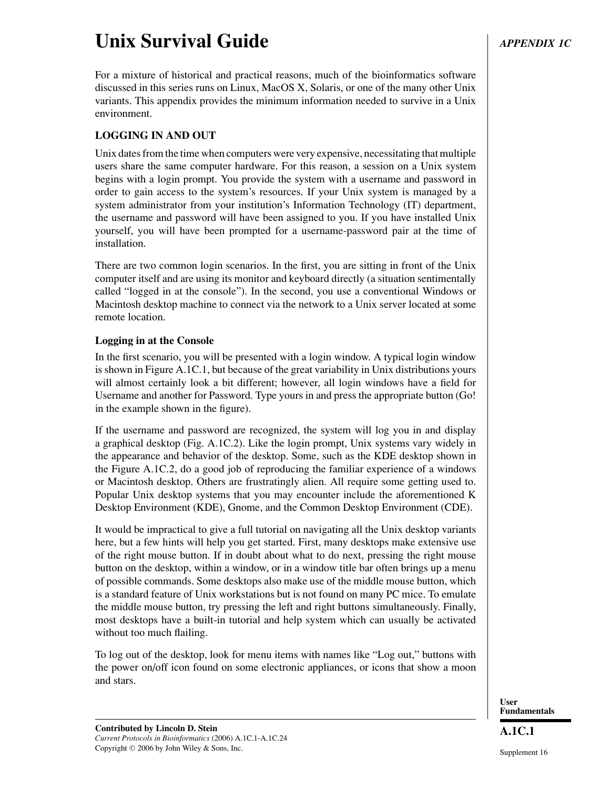# Unix Survival Guide *APPENDIX 1C*

For a mixture of historical and practical reasons, much of the bioinformatics software discussed in this series runs on Linux, MacOS X, Solaris, or one of the many other Unix variants. This appendix provides the minimum information needed to survive in a Unix environment.

# **LOGGING IN AND OUT**

Unix dates from the time when computers were very expensive, necessitating that multiple users share the same computer hardware. For this reason, a session on a Unix system begins with a login prompt. You provide the system with a username and password in order to gain access to the system's resources. If your Unix system is managed by a system administrator from your institution's Information Technology (IT) department, the username and password will have been assigned to you. If you have installed Unix yourself, you will have been prompted for a username-password pair at the time of installation.

There are two common login scenarios. In the first, you are sitting in front of the Unix computer itself and are using its monitor and keyboard directly (a situation sentimentally called "logged in at the console"). In the second, you use a conventional Windows or Macintosh desktop machine to connect via the network to a Unix server located at some remote location.

# **Logging in at the Console**

In the first scenario, you will be presented with a login window. A typical login window is shown in Figure A.1C.1, but because of the great variability in Unix distributions yours will almost certainly look a bit different; however, all login windows have a field for Username and another for Password. Type yours in and press the appropriate button (Go! in the example shown in the figure).

If the username and password are recognized, the system will log you in and display a graphical desktop (Fig. A.1C.2). Like the login prompt, Unix systems vary widely in the appearance and behavior of the desktop. Some, such as the KDE desktop shown in the Figure A.1C.2, do a good job of reproducing the familiar experience of a windows or Macintosh desktop. Others are frustratingly alien. All require some getting used to. Popular Unix desktop systems that you may encounter include the aforementioned K Desktop Environment (KDE), Gnome, and the Common Desktop Environment (CDE).

It would be impractical to give a full tutorial on navigating all the Unix desktop variants here, but a few hints will help you get started. First, many desktops make extensive use of the right mouse button. If in doubt about what to do next, pressing the right mouse button on the desktop, within a window, or in a window title bar often brings up a menu of possible commands. Some desktops also make use of the middle mouse button, which is a standard feature of Unix workstations but is not found on many PC mice. To emulate the middle mouse button, try pressing the left and right buttons simultaneously. Finally, most desktops have a built-in tutorial and help system which can usually be activated without too much flailing.

To log out of the desktop, look for menu items with names like "Log out," buttons with the power on/off icon found on some electronic appliances, or icons that show a moon and stars.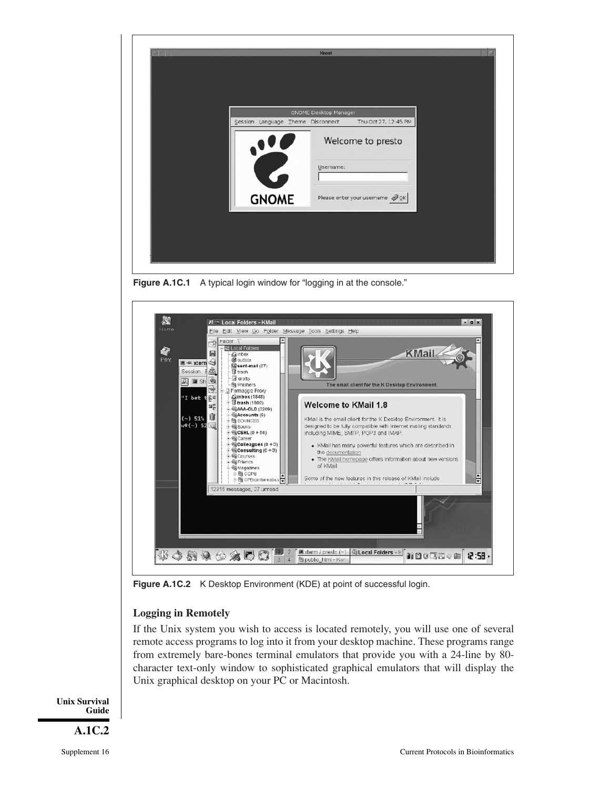

**Figure A.1C.1** A typical login window for "logging in at the console."



Figure A.1C.2 K Desktop Environment (KDE) at point of successful login.

## **Logging in Remotely**

If the Unix system you wish to access is located remotely, you will use one of several remote access programs to log into it from your desktop machine. These programs range from extremely bare-bones terminal emulators that provide you with a 24-line by 80 character text-only window to sophisticated graphical emulators that will display the Unix graphical desktop on your PC or Macintosh.

**Unix Survival Guide A.1C.2**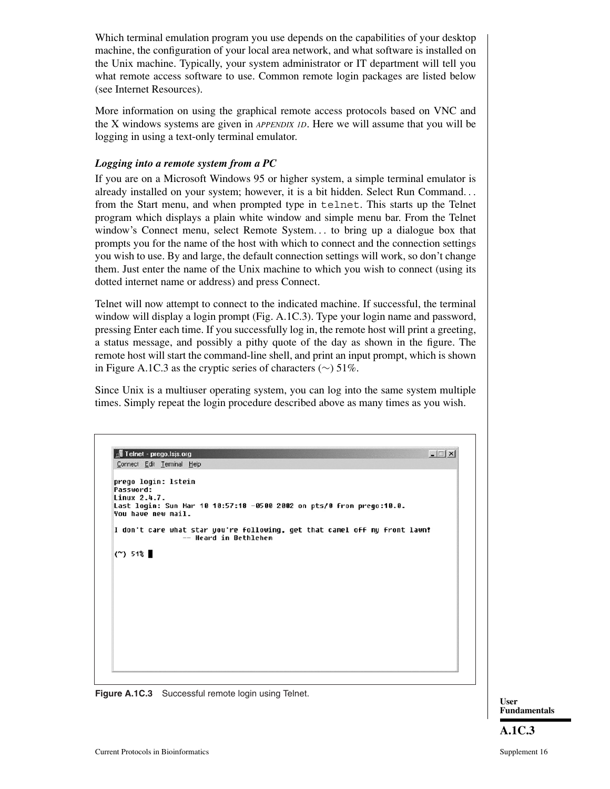Which terminal emulation program you use depends on the capabilities of your desktop machine, the configuration of your local area network, and what software is installed on the Unix machine. Typically, your system administrator or IT department will tell you what remote access software to use. Common remote login packages are listed below (see Internet Resources).

More information on using the graphical remote access protocols based on VNC and the X windows systems are given in *APPENDIX 1D*. Here we will assume that you will be logging in using a text-only terminal emulator.

## *Logging into a remote system from a PC*

If you are on a Microsoft Windows 95 or higher system, a simple terminal emulator is already installed on your system; however, it is a bit hidden. Select Run Command... from the Start menu, and when prompted type in telnet. This starts up the Telnet program which displays a plain white window and simple menu bar. From the Telnet window's Connect menu, select Remote System... to bring up a dialogue box that prompts you for the name of the host with which to connect and the connection settings you wish to use. By and large, the default connection settings will work, so don't change them. Just enter the name of the Unix machine to which you wish to connect (using its dotted internet name or address) and press Connect.

Telnet will now attempt to connect to the indicated machine. If successful, the terminal window will display a login prompt (Fig. A.1C.3). Type your login name and password, pressing Enter each time. If you successfully log in, the remote host will print a greeting, a status message, and possibly a pithy quote of the day as shown in the figure. The remote host will start the command-line shell, and print an input prompt, which is shown in Figure A.1C.3 as the cryptic series of characters ( $\sim$ ) 51%.

Since Unix is a multiuser operating system, you can log into the same system multiple times. Simply repeat the login procedure described above as many times as you wish.

| Telnet - prego.lsjs.org    |                       |                                                                            | $ \Box$ $\times$ |
|----------------------------|-----------------------|----------------------------------------------------------------------------|------------------|
| Connect Edit Terminal Help |                       |                                                                            |                  |
| prego login: Istein        |                       |                                                                            |                  |
| Password:                  |                       |                                                                            |                  |
| Linux 2.4.7.               |                       |                                                                            |                  |
| You have new mail.         |                       | Last login: Sun Mar 10 10:57:18 -0500 2002 on pts/0 from prego:10.0.       |                  |
|                            | -- Heard in Bethlehem | I don't care what star you're following, get that camel off my front lawn! |                  |
| $(^\circ)$ 51%             |                       |                                                                            |                  |
|                            |                       |                                                                            |                  |
|                            |                       |                                                                            |                  |
|                            |                       |                                                                            |                  |
|                            |                       |                                                                            |                  |
|                            |                       |                                                                            |                  |
|                            |                       |                                                                            |                  |
|                            |                       |                                                                            |                  |
|                            |                       |                                                                            |                  |
|                            |                       |                                                                            |                  |

**Figure A.1C.3** Successful remote login using Telnet.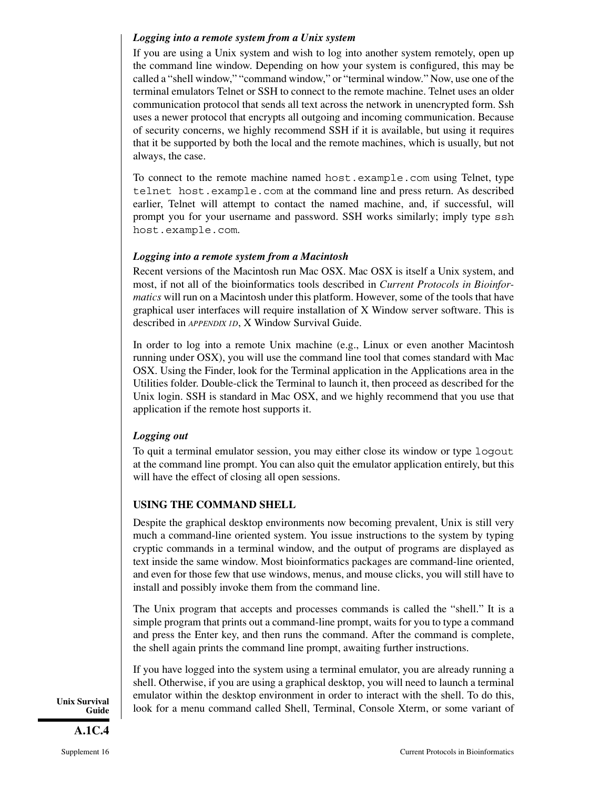#### *Logging into a remote system from a Unix system*

If you are using a Unix system and wish to log into another system remotely, open up the command line window. Depending on how your system is configured, this may be called a "shell window," "command window," or "terminal window." Now, use one of the terminal emulators Telnet or SSH to connect to the remote machine. Telnet uses an older communication protocol that sends all text across the network in unencrypted form. Ssh uses a newer protocol that encrypts all outgoing and incoming communication. Because of security concerns, we highly recommend SSH if it is available, but using it requires that it be supported by both the local and the remote machines, which is usually, but not always, the case.

To connect to the remote machine named host.example.com using Telnet, type telnet host.example.com at the command line and press return. As described earlier, Telnet will attempt to contact the named machine, and, if successful, will prompt you for your username and password. SSH works similarly; imply type ssh host.example.com.

## *Logging into a remote system from a Macintosh*

Recent versions of the Macintosh run Mac OSX. Mac OSX is itself a Unix system, and most, if not all of the bioinformatics tools described in *Current Protocols in Bioinformatics* will run on a Macintosh under this platform. However, some of the tools that have graphical user interfaces will require installation of X Window server software. This is described in *APPENDIX 1D*, X Window Survival Guide.

In order to log into a remote Unix machine (e.g., Linux or even another Macintosh running under OSX), you will use the command line tool that comes standard with Mac OSX. Using the Finder, look for the Terminal application in the Applications area in the Utilities folder. Double-click the Terminal to launch it, then proceed as described for the Unix login. SSH is standard in Mac OSX, and we highly recommend that you use that application if the remote host supports it.

#### *Logging out*

To quit a terminal emulator session, you may either close its window or type logout at the command line prompt. You can also quit the emulator application entirely, but this will have the effect of closing all open sessions.

## **USING THE COMMAND SHELL**

Despite the graphical desktop environments now becoming prevalent, Unix is still very much a command-line oriented system. You issue instructions to the system by typing cryptic commands in a terminal window, and the output of programs are displayed as text inside the same window. Most bioinformatics packages are command-line oriented, and even for those few that use windows, menus, and mouse clicks, you will still have to install and possibly invoke them from the command line.

The Unix program that accepts and processes commands is called the "shell." It is a simple program that prints out a command-line prompt, waits for you to type a command and press the Enter key, and then runs the command. After the command is complete, the shell again prints the command line prompt, awaiting further instructions.

If you have logged into the system using a terminal emulator, you are already running a shell. Otherwise, if you are using a graphical desktop, you will need to launch a terminal emulator within the desktop environment in order to interact with the shell. To do this, look for a menu command called Shell, Terminal, Console Xterm, or some variant of

**Unix Survival Guide**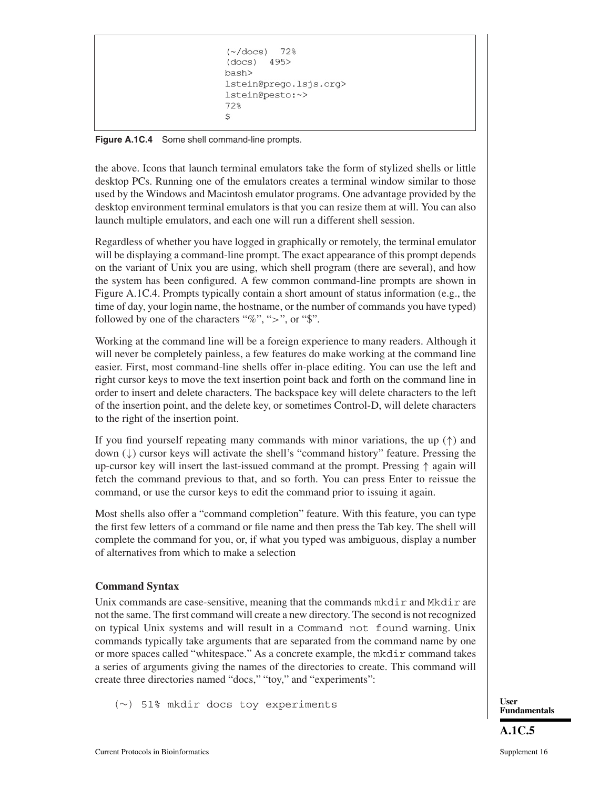```
(\sim/docs) 72%
(docs) 495>
bash>
lstein@prego.lsjs.org>
lstein@pesto:~>
72%
$
```
**Figure A.1C.4** Some shell command-line prompts.

the above. Icons that launch terminal emulators take the form of stylized shells or little desktop PCs. Running one of the emulators creates a terminal window similar to those used by the Windows and Macintosh emulator programs. One advantage provided by the desktop environment terminal emulators is that you can resize them at will. You can also launch multiple emulators, and each one will run a different shell session.

Regardless of whether you have logged in graphically or remotely, the terminal emulator will be displaying a command-line prompt. The exact appearance of this prompt depends on the variant of Unix you are using, which shell program (there are several), and how the system has been configured. A few common command-line prompts are shown in Figure A.1C.4. Prompts typically contain a short amount of status information (e.g., the time of day, your login name, the hostname, or the number of commands you have typed) followed by one of the characters " $\%$ ", ">", or "\$".

Working at the command line will be a foreign experience to many readers. Although it will never be completely painless, a few features do make working at the command line easier. First, most command-line shells offer in-place editing. You can use the left and right cursor keys to move the text insertion point back and forth on the command line in order to insert and delete characters. The backspace key will delete characters to the left of the insertion point, and the delete key, or sometimes Control-D, will delete characters to the right of the insertion point.

If you find yourself repeating many commands with minor variations, the up  $(†)$  and down (↓) cursor keys will activate the shell's "command history" feature. Pressing the up-cursor key will insert the last-issued command at the prompt. Pressing  $\uparrow$  again will fetch the command previous to that, and so forth. You can press Enter to reissue the command, or use the cursor keys to edit the command prior to issuing it again.

Most shells also offer a "command completion" feature. With this feature, you can type the first few letters of a command or file name and then press the Tab key. The shell will complete the command for you, or, if what you typed was ambiguous, display a number of alternatives from which to make a selection

# **Command Syntax**

Unix commands are case-sensitive, meaning that the commands  $mkdir$  and  $Mkdir$  are not the same. The first command will create a new directory. The second is not recognized on typical Unix systems and will result in a Command not found warning. Unix commands typically take arguments that are separated from the command name by one or more spaces called "whitespace." As a concrete example, the mkdir command takes a series of arguments giving the names of the directories to create. This command will create three directories named "docs," "toy," and "experiments":

(∼) 51% mkdir docs toy experiments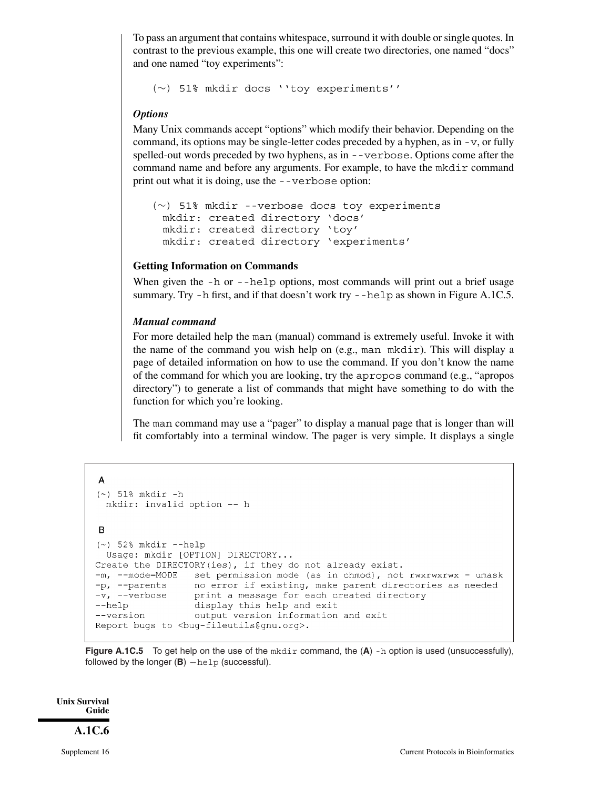To pass an argument that contains whitespace, surround it with double or single quotes. In contrast to the previous example, this one will create two directories, one named "docs" and one named "toy experiments":

(∼) 51% mkdir docs ''toy experiments''

#### *Options*

Many Unix commands accept "options" which modify their behavior. Depending on the command, its options may be single-letter codes preceded by a hyphen, as in -v, or fully spelled-out words preceded by two hyphens, as in --verbose. Options come after the command name and before any arguments. For example, to have the mkdir command print out what it is doing, use the --verbose option:

```
(∼) 51% mkdir --verbose docs toy experiments
 mkdir: created directory 'docs'
 mkdir: created directory 'toy'
 mkdir: created directory 'experiments'
```
#### **Getting Information on Commands**

When given the -h or --help options, most commands will print out a brief usage summary. Try -h first, and if that doesn't work try --help as shown in Figure A.1C.5.

#### *Manual command*

For more detailed help the man (manual) command is extremely useful. Invoke it with the name of the command you wish help on (e.g., man mkdir). This will display a page of detailed information on how to use the command. If you don't know the name of the command for which you are looking, try the apropos command (e.g., "apropos directory") to generate a list of commands that might have something to do with the function for which you're looking.

The man command may use a "pager" to display a manual page that is longer than will fit comfortably into a terminal window. The pager is very simple. It displays a single

```
\mathsf{A}(\sim) 51% mkdir -h
 mkdir: invalid option -- h
\mathbf{B}(\sim) 52% mkdir --help
 Usage: mkdir [OPTION] DIRECTORY...
Create the DIRECTORY(ies), if they do not already exist.
-m, --mode=MODE set permission mode (as in chmod), not rwxrwxrwx - umask
-p, --parents on error if existing, make parent directories as needed
                 print a message for each created directory
-v, --verbose
--help display this help and exit<br>--version output version information and exit
Report bugs to <br/>bug-fileutils@gnu.org>.
```
**Figure A.1C.5** To get help on the use of the  $m$ kdir command, the  $(A)$  -h option is used (unsuccessfully), followed by the longer  $(B)$  -help (successful).

**Unix Survival Guide**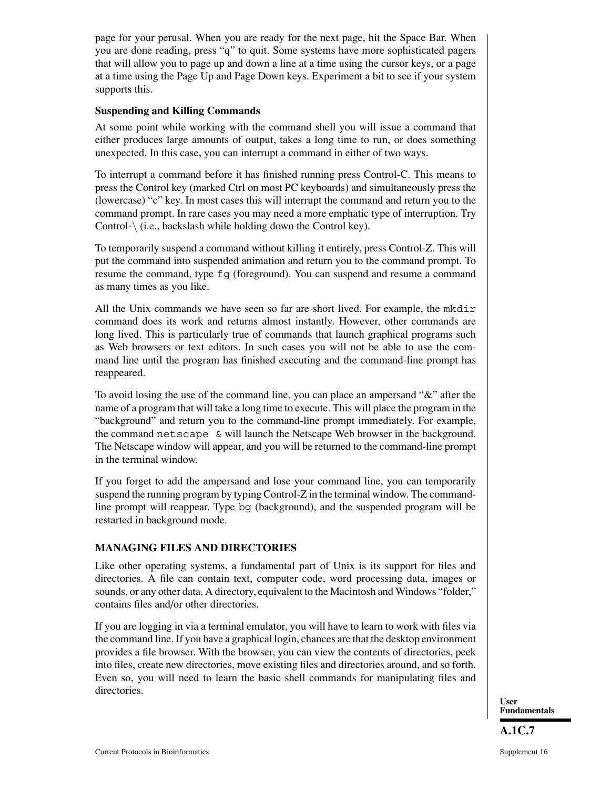page for your perusal. When you are ready for the next page, hit the Space Bar. When you are done reading, press "q" to quit. Some systems have more sophisticated pagers that will allow you to page up and down a line at a time using the cursor keys, or a page at a time using the Page Up and Page Down keys. Experiment a bit to see if your system supports this.

#### **Suspending and Killing Commands**

At some point while working with the command shell you will issue a command that either produces large amounts of output, takes a long time to run, or does something unexpected. In this case, you can interrupt a command in either of two ways.

To interrupt a command before it has finished running press Control-C. This means to press the Control key (marked Ctrl on most PC keyboards) and simultaneously press the (lowercase) "c" key. In most cases this will interrupt the command and return you to the command prompt. In rare cases you may need a more emphatic type of interruption. Try Control- $\langle$  (i.e., backslash while holding down the Control key).

To temporarily suspend a command without killing it entirely, press Control-Z. This will put the command into suspended animation and return you to the command prompt. To resume the command, type fg (foreground). You can suspend and resume a command as many times as you like.

All the Unix commands we have seen so far are short lived. For example, the mkdir command does its work and returns almost instantly. However, other commands are long lived. This is particularly true of commands that launch graphical programs such as Web browsers or text editors. In such cases you will not be able to use the command line until the program has finished executing and the command-line prompt has reappeared.

To avoid losing the use of the command line, you can place an ampersand "&" after the name of a program that will take a long time to execute. This will place the program in the "background" and return you to the command-line prompt immediately. For example, the command netscape & will launch the Netscape Web browser in the background. The Netscape window will appear, and you will be returned to the command-line prompt in the terminal window.

If you forget to add the ampersand and lose your command line, you can temporarily suspend the running program by typing Control-Z in the terminal window. The commandline prompt will reappear. Type bg (background), and the suspended program will be restarted in background mode.

## **MANAGING FILES AND DIRECTORIES**

Like other operating systems, a fundamental part of Unix is its support for files and directories. A file can contain text, computer code, word processing data, images or sounds, or any other data. A directory, equivalent to the Macintosh and Windows "folder," contains files and/or other directories.

If you are logging in via a terminal emulator, you will have to learn to work with files via the command line. If you have a graphical login, chances are that the desktop environment provides a file browser. With the browser, you can view the contents of directories, peek into files, create new directories, move existing files and directories around, and so forth. Even so, you will need to learn the basic shell commands for manipulating files and directories.

> **User Fundamentals**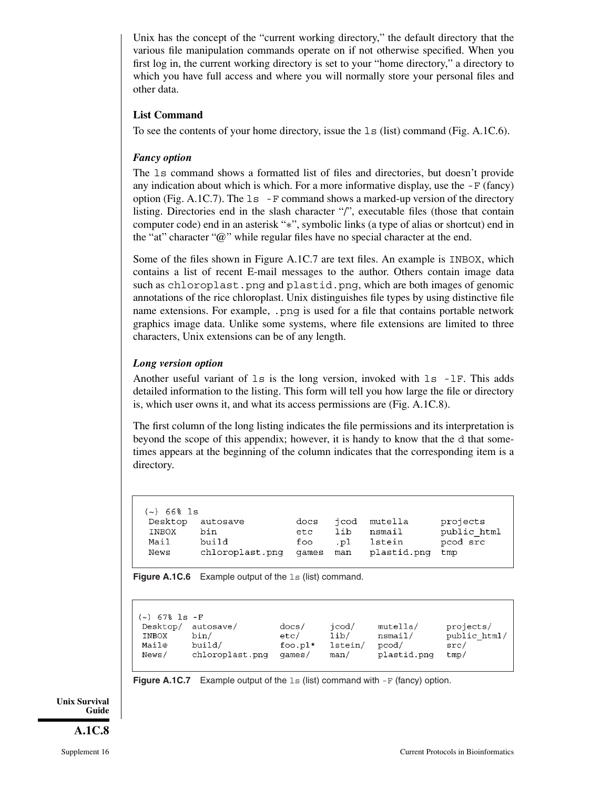Unix has the concept of the "current working directory," the default directory that the various file manipulation commands operate on if not otherwise specified. When you first log in, the current working directory is set to your "home directory," a directory to which you have full access and where you will normally store your personal files and other data.

#### **List Command**

To see the contents of your home directory, issue the ls (list) command (Fig. A.1C.6).

#### *Fancy option*

The ls command shows a formatted list of files and directories, but doesn't provide any indication about which is which. For a more informative display, use the  $-F$  (fancy) option (Fig. A.1C.7). The  $\text{ls}$  - F command shows a marked-up version of the directory listing. Directories end in the slash character "/", executable files (those that contain computer code) end in an asterisk "∗", symbolic links (a type of alias or shortcut) end in the "at" character "@" while regular files have no special character at the end.

Some of the files shown in Figure A.1C.7 are text files. An example is INBOX, which contains a list of recent E-mail messages to the author. Others contain image data such as chloroplast.png and plastid.png, which are both images of genomic annotations of the rice chloroplast. Unix distinguishes file types by using distinctive file name extensions. For example, .png is used for a file that contains portable network graphics image data. Unlike some systems, where file extensions are limited to three characters, Unix extensions can be of any length.

#### *Long version option*

Another useful variant of  $\text{ls}$  is the long version, invoked with  $\text{ls}$  -lF. This adds detailed information to the listing. This form will tell you how large the file or directory is, which user owns it, and what its access permissions are (Fig. A.1C.8).

The first column of the long listing indicates the file permissions and its interpretation is beyond the scope of this appendix; however, it is handy to know that the d that sometimes appears at the beginning of the column indicates that the corresponding item is a directory.

| (~) 66% ls |                 |       |      |             |             |
|------------|-----------------|-------|------|-------------|-------------|
| Desktop    | autosave        | docs  | icod | mutella     | projects    |
| INBOX      | bin             | etc   | lib  | nsmail      | public html |
| Mail       | build           | foo   | .pl  | lstein      | pcod src    |
| News       | chloroplast.pnq | games | man  | plastid.pnq | tmp         |

**Figure A.1C.6** Example output of the 1s (list) command.

| (~) 67% ls -F |                 |            |                |                |              |
|---------------|-----------------|------------|----------------|----------------|--------------|
| Desktop/      | autosave/       | docs/      | $i$ cod $\ell$ | mutella/       | projects/    |
| INBOX         | bin/            | etc/       | lib/           | $n$ smail/     | public html/ |
| Mail@         | build/          | foo.pl $*$ | lstein/        | $p\text{cod}/$ | src/         |
| News/         | chloroplast.pnq | qames/     | man/           | plastid.png    | tmp/         |

**Figure A.1C.7** Example output of the  $\text{ls}$  (list) command with  $-F$  (fancy) option.

**Unix Survival Guide**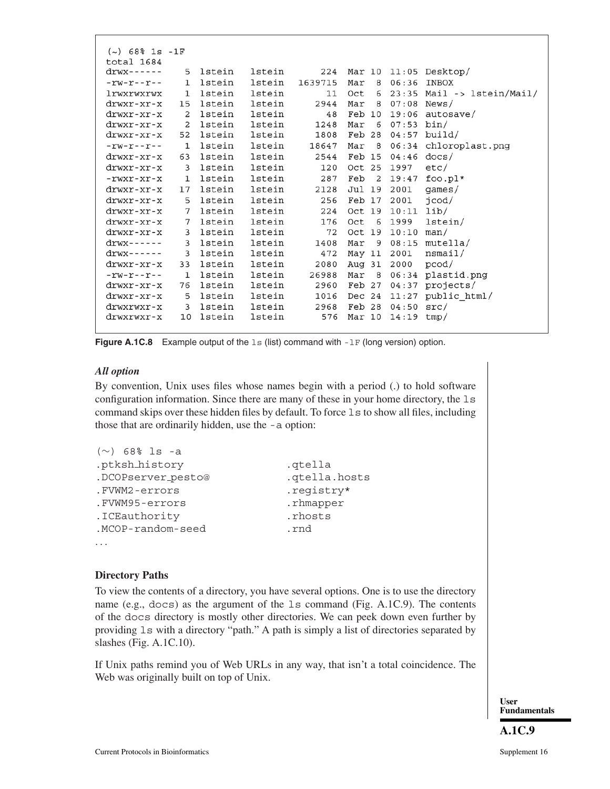| $(\sim)$ 68% 1s -1F                           |              |        |        |         |           |       |                      |
|-----------------------------------------------|--------------|--------|--------|---------|-----------|-------|----------------------|
| total 1684                                    |              |        |        |         |           |       |                      |
| $drwx---$ - - - - - -                         | 5            | lstein | lstein | 224     | Mar 10    | 11:05 | Desktop/             |
| $-rw-r--r--$                                  | 1            | lstein | lstein | 1639715 | Mar<br>8  | 06:36 | INBOX                |
| lrwxrwxrwx                                    | $\mathbf{1}$ | lstein | lstein | 11      | Oct<br>6  | 23:35 | Mail -> lstein/Mail/ |
| drwxr-xr-x                                    | 15           | lstein | lstein | 2944    | Mar<br>8  | 07:08 | News/                |
| drwxr-xr-x                                    | 2            | lstein | lstein | 48      | Feb<br>10 | 19:06 | autosave/            |
| drwxr-xr-x                                    | 2            | lstein | lstein | 1248    | Mar<br>6  | 07:53 | bin/                 |
| drwxr-xr-x                                    | 52           | lstein | lstein | 1808    | Feb<br>28 | 04:57 | build/               |
| $-rw-r--r--$                                  | 1            | lstein | lstein | 18647   | 8<br>Mar  | 06:34 | chloroplast.png      |
| $drwxr-xr-x$                                  | 63           | lstein | lstein | 2544    | Feb 15    | 04:46 | docs/                |
| $drwxr-xr-x$                                  | 3            | lstein | lstein | 120     | Oct<br>25 | 1997  | etc/                 |
| $-rwxr-xr-x$                                  | 1            | lstein | lstein | 287     | Feb<br>2  | 19:47 | $foo.pl*$            |
| $drwxr-xr-x$                                  | 17           | lstein | lstein | 2128    | Jul 19    | 2001  | qames/               |
| drwxr-xr-x                                    | 5            | lstein | lstein | 256     | Feb 17    | 2001  | $i$ cod $\ell$       |
| $drwxr-xr-x$                                  | 7            | lstein | lstein | 224     | Oct 19    | 10:11 | $1$ ib/              |
| $drwxr-xr-x$                                  | 7            | lstein | lstein | 176     | 6<br>Oct  | 1999  | lstein/              |
| drwxr-xr-x                                    | 3            | lstein | lstein | 72      | Oct 19    | 10:10 | man/                 |
| $drwx---$                                     | 3            | lstein | lstein | 1408    | Mar<br>9  | 08:15 | mutella/             |
| $\text{drwx}\text{-}\text{-}\text{-}\text{-}$ | 3            | lstein | lstein | 472     | May 11    | 2001  | $n$ smail/           |
| drwxr-xr-x                                    | 33           | lstein | lstein | 2080    | Aug 31    | 2000  | $p\text{cod}/$       |
| $-rw-r--r--$                                  | $\mathbf{1}$ | lstein | lstein | 26988   | Mar<br>8  | 06:34 | plastid.png          |
| drwxr-xr-x                                    | 76           | lstein | lstein | 2960    | Feb 27    | 04:37 | projects/            |
| drwxr-xr-x                                    | 5            | lstein | lstein | 1016    | Dec 24    | 11:27 | public html/         |
| drwxrwxr-x                                    | 3            | lstein | lstein | 2968    | Feb 28    | 04:50 | src/                 |
| drwxrwxr-x                                    | 10           | lstein | lstein | 576     | Mar 10    | 14:19 | tmp/                 |
|                                               |              |        |        |         |           |       |                      |

**Figure A.1C.8** Example output of the 1s (list) command with -1F (long version) option.

## *All option*

By convention, Unix uses files whose names begin with a period (.) to hold software configuration information. Since there are many of these in your home directory, the 1s command skips over these hidden files by default. To force ls to show all files, including those that are ordinarily hidden, use the -a option:

| $(\sim)$ 68% ls -a |               |
|--------------------|---------------|
| .ptksh_history     | .qtella       |
| .DCOPserver_pesto@ | .qtella.hosts |
| .FVWM2-errors      | .reqistry*    |
| .FVWM95-errors     | .rhmapper     |
| .ICEauthority      | .rhosts       |
| .MCOP-random-seed  | .rnd          |
|                    |               |

# **Directory Paths**

To view the contents of a directory, you have several options. One is to use the directory name (e.g., docs) as the argument of the ls command (Fig. A.1C.9). The contents of the docs directory is mostly other directories. We can peek down even further by providing ls with a directory "path." A path is simply a list of directories separated by slashes (Fig. A.1C.10).

If Unix paths remind you of Web URLs in any way, that isn't a total coincidence. The Web was originally built on top of Unix.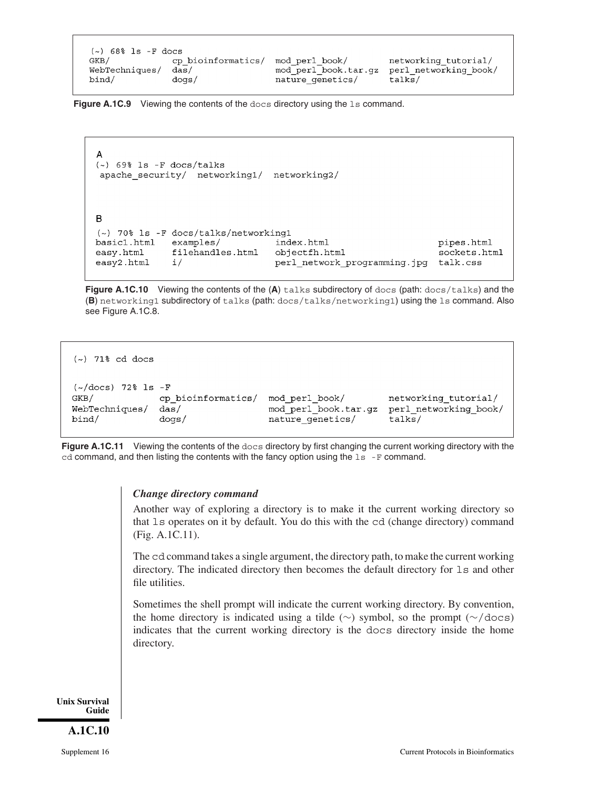| $(\sim)$ 68% ls -F docs |                                   |                  |                                            |
|-------------------------|-----------------------------------|------------------|--------------------------------------------|
| GKB/                    | cp bioinformatics/ mod perl book/ |                  | networking tutorial/                       |
| WebTechniques/          | das/                              |                  | mod perl book.tar.qz perl networking book/ |
| bind/                   | dogs/                             | nature genetics/ | talks/                                     |

**Figure A.1C.9** Viewing the contents of the docs directory using the 1s command.

```
A
(\sim) 69% ls -F docs/talks
apache_security/ networking1/ networking2/
B
(~) 70% ls -F docs/talks/networking1
basic1.html examples/ index.html
                                                                 pipes.html
easy.html filehandles.html objectfh.html<br>easy2.html i/ perl_network_p
                                                                 sockets.html
                           perl_network_programming.jpg talk.css
```
**Figure A.1C.10** Viewing the contents of the (**A**) talks subdirectory of docs (path: docs/talks) and the (**B**) networking1 subdirectory of talks (path: docs/talks/networking1) using the ls command. Also see Figure A.1C.8.

```
(\sim) 71% cd docs
(\sim/\text{docs}) 72% ls -F
                  cp bioinformatics/ mod perl book/ networking tutorial/
GKB/not mattes/ mod_peri_book/<br>mod_peri_book/tar.gz peri_networking_book/<br>mod_peri_book/ tar.gz peri_networking_book/
WebTechniques/ das/
                                           nature_genetics/
bind/
                   doqs/
                                                                         talks/
```
**Figure A.1C.11** Viewing the contents of the docs directory by first changing the current working directory with the cd command, and then listing the contents with the fancy option using the  $1s$  -F command.

#### *Change directory command*

Another way of exploring a directory is to make it the current working directory so that ls operates on it by default. You do this with the cd (change directory) command (Fig. A.1C.11).

The cd command takes a single argument, the directory path, to make the current working directory. The indicated directory then becomes the default directory for ls and other file utilities.

Sometimes the shell prompt will indicate the current working directory. By convention, the home directory is indicated using a tilde (∼) symbol, so the prompt (∼/docs) indicates that the current working directory is the docs directory inside the home directory.

**Unix Survival Guide**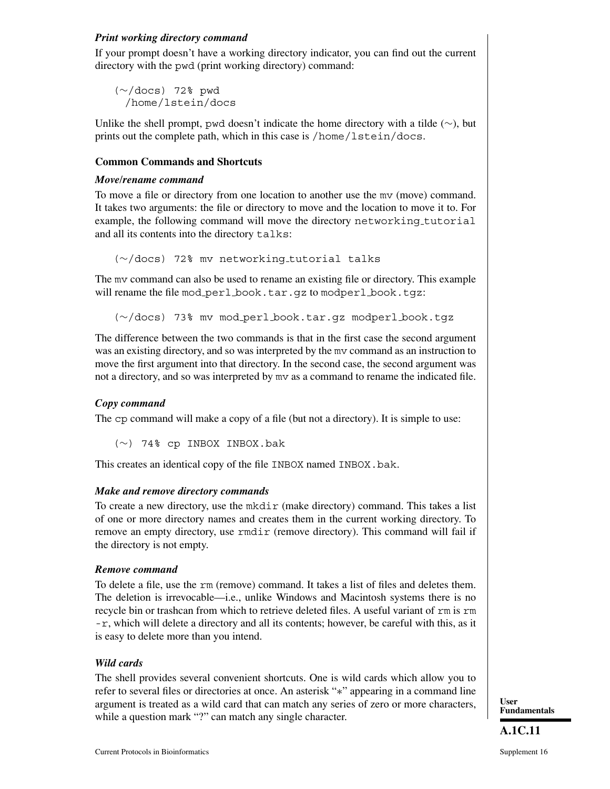#### *Print working directory command*

If your prompt doesn't have a working directory indicator, you can find out the current directory with the pwd (print working directory) command:

(∼/docs) 72% pwd /home/lstein/docs

Unlike the shell prompt, pwd doesn't indicate the home directory with a tilde ( $\sim$ ), but prints out the complete path, which in this case is /home/lstein/docs.

#### **Common Commands and Shortcuts**

#### *Move/rename command*

To move a file or directory from one location to another use the mv (move) command. It takes two arguments: the file or directory to move and the location to move it to. For example, the following command will move the directory networking tutorial and all its contents into the directory talks:

(∼/docs) 72% mv networking tutorial talks

The mv command can also be used to rename an existing file or directory. This example will rename the file mod\_perl\_book.tar.gz to modperl\_book.tgz:

(∼/docs) 73% mv mod perl book.tar.gz modperl book.tgz

The difference between the two commands is that in the first case the second argument was an existing directory, and so was interpreted by the mv command as an instruction to move the first argument into that directory. In the second case, the second argument was not a directory, and so was interpreted by mv as a command to rename the indicated file.

#### *Copy command*

The cp command will make a copy of a file (but not a directory). It is simple to use:

(∼) 74% cp INBOX INBOX.bak

This creates an identical copy of the file INBOX named INBOX.bak.

#### *Make and remove directory commands*

To create a new directory, use the mkdir (make directory) command. This takes a list of one or more directory names and creates them in the current working directory. To remove an empty directory, use  $r$ mdir (remove directory). This command will fail if the directory is not empty.

#### *Remove command*

To delete a file, use the rm (remove) command. It takes a list of files and deletes them. The deletion is irrevocable—i.e., unlike Windows and Macintosh systems there is no recycle bin or trashcan from which to retrieve deleted files. A useful variant of rm is rm -r, which will delete a directory and all its contents; however, be careful with this, as it is easy to delete more than you intend.

#### *Wild cards*

The shell provides several convenient shortcuts. One is wild cards which allow you to refer to several files or directories at once. An asterisk "∗" appearing in a command line argument is treated as a wild card that can match any series of zero or more characters, while a question mark "?" can match any single character.

**User Fundamentals**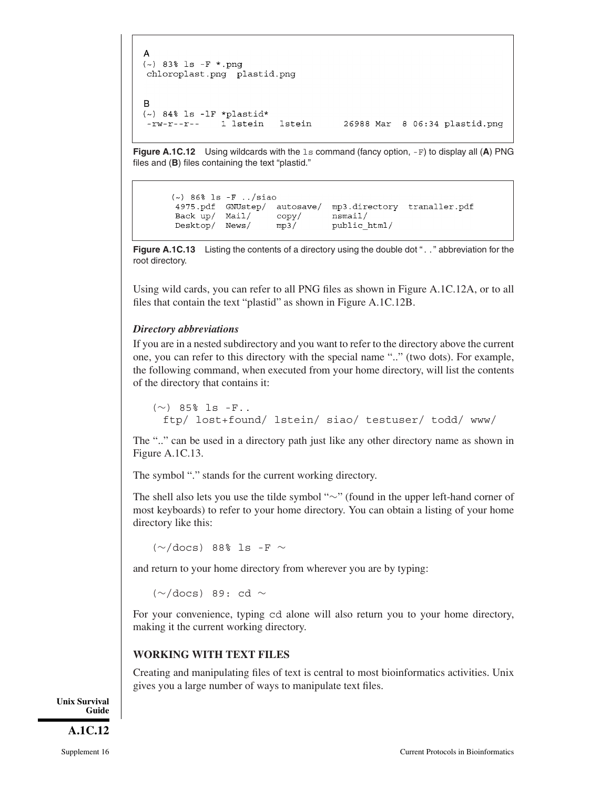```
Δ
({\sim}) 83% ls -F *.png
chloroplast.png plastid.png
R
(\sim) 84% ls -1F *plastid*
-rw-r--r-- 1 lstein 1 stein
                                      26988 Mar 8 06:34 plastid.pnq
```
**Figure A.1C.12** Using wildcards with the  $1s$  command (fancy option,  $-F$ ) to display all (A) PNG files and (**B**) files containing the text "plastid."

```
(\sim) 86% ls -F ../siao
4975.pdf GNUstep/ autosave/ mp3.directory tranaller.pdf
Back up/ Mail/ copy/ nsmail/<br>Desktop/ News/ mp3/ public_html/
```
**Figure A.1C.13** Listing the contents of a directory using the double dot ".." abbreviation for the root directory.

Using wild cards, you can refer to all PNG files as shown in Figure A.1C.12A, or to all files that contain the text "plastid" as shown in Figure A.1C.12B.

#### *Directory abbreviations*

If you are in a nested subdirectory and you want to refer to the directory above the current one, you can refer to this directory with the special name ".." (two dots). For example, the following command, when executed from your home directory, will list the contents of the directory that contains it:

```
(∼) 85% ls -F..
 ftp/ lost+found/ lstein/ siao/ testuser/ todd/ www/
```
The ".." can be used in a directory path just like any other directory name as shown in Figure A.1C.13.

The symbol "." stands for the current working directory.

The shell also lets you use the tilde symbol "∼" (found in the upper left-hand corner of most keyboards) to refer to your home directory. You can obtain a listing of your home directory like this:

(∼/docs) 88% ls -F ∼

and return to your home directory from wherever you are by typing:

(∼/docs) 89: cd ∼

For your convenience, typing cd alone will also return you to your home directory, making it the current working directory.

#### **WORKING WITH TEXT FILES**

Creating and manipulating files of text is central to most bioinformatics activities. Unix gives you a large number of ways to manipulate text files.

**Unix Survival Guide**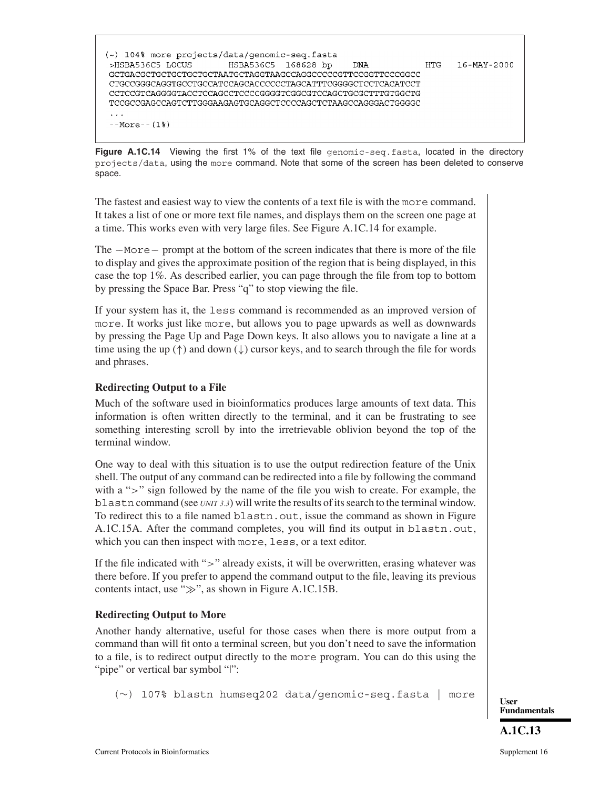

**Figure A.1C.14** Viewing the first 1% of the text file genomic-seq.fasta, located in the directory projects/data, using the more command. Note that some of the screen has been deleted to conserve space.

The fastest and easiest way to view the contents of a text file is with the more command. It takes a list of one or more text file names, and displays them on the screen one page at a time. This works even with very large files. See Figure A.1C.14 for example.

The  $-M$ ore  $-$  prompt at the bottom of the screen indicates that there is more of the file to display and gives the approximate position of the region that is being displayed, in this case the top 1%. As described earlier, you can page through the file from top to bottom by pressing the Space Bar. Press "q" to stop viewing the file.

If your system has it, the less command is recommended as an improved version of more. It works just like more, but allows you to page upwards as well as downwards by pressing the Page Up and Page Down keys. It also allows you to navigate a line at a time using the up ( $\uparrow$ ) and down ( $\downarrow$ ) cursor keys, and to search through the file for words and phrases.

#### **Redirecting Output to a File**

Much of the software used in bioinformatics produces large amounts of text data. This information is often written directly to the terminal, and it can be frustrating to see something interesting scroll by into the irretrievable oblivion beyond the top of the terminal window.

One way to deal with this situation is to use the output redirection feature of the Unix shell. The output of any command can be redirected into a file by following the command with a ">" sign followed by the name of the file you wish to create. For example, the blastn command (see *UNIT 3.3*) will write the results of its search to the terminal window. To redirect this to a file named blastn.out, issue the command as shown in Figure A.1C.15A. After the command completes, you will find its output in blastn.out, which you can then inspect with more, less, or a text editor.

If the file indicated with ">" already exists, it will be overwritten, erasing whatever was there before. If you prefer to append the command output to the file, leaving its previous contents intact, use " $\gg$ ", as shown in Figure A.1C.15B.

#### **Redirecting Output to More**

Another handy alternative, useful for those cases when there is more output from a command than will fit onto a terminal screen, but you don't need to save the information to a file, is to redirect output directly to the more program. You can do this using the "pipe" or vertical bar symbol "|":

(∼) 107% blastn humseq202 data/genomic-seq.fasta | more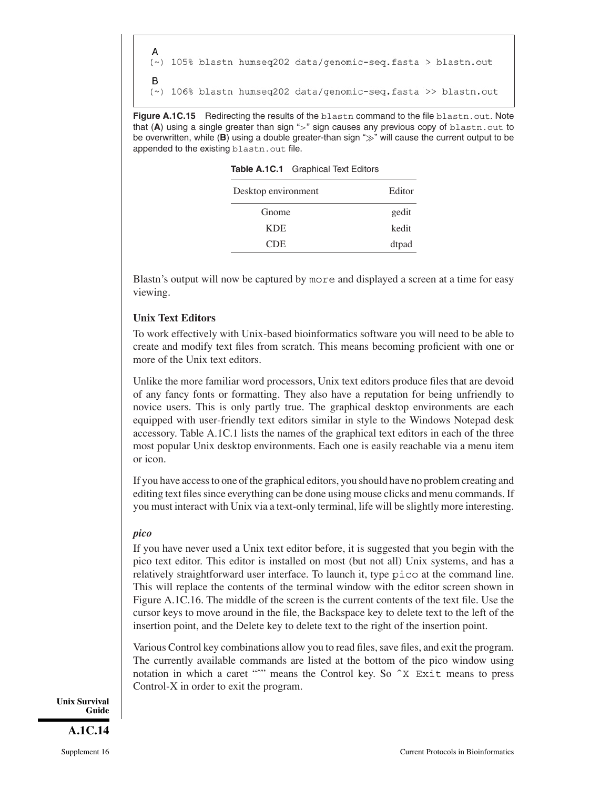А (~) 105% blastn humseq202 data/genomic-seq.fasta > blastn.out B (~) 106% blastn humseq202 data/genomic-seq.fasta >> blastn.out

**Figure A.1C.15** Redirecting the results of the blastn command to the file blastn.out. Note that (**A**) using a single greater than sign "*>*" sign causes any previous copy of blastn.out to be overwritten, while (**B**) using a double greater-than sign ">" will cause the current output to be appended to the existing blastn.out file.

**Table A.1C.1** Graphical Text Editors

| Desktop environment | Editor |
|---------------------|--------|
| Gnome               | gedit  |
| KDE.                | kedit  |
| <b>CDE</b>          | dtpad  |

Blastn's output will now be captured by more and displayed a screen at a time for easy viewing.

#### **Unix Text Editors**

To work effectively with Unix-based bioinformatics software you will need to be able to create and modify text files from scratch. This means becoming proficient with one or more of the Unix text editors.

Unlike the more familiar word processors, Unix text editors produce files that are devoid of any fancy fonts or formatting. They also have a reputation for being unfriendly to novice users. This is only partly true. The graphical desktop environments are each equipped with user-friendly text editors similar in style to the Windows Notepad desk accessory. Table A.1C.1 lists the names of the graphical text editors in each of the three most popular Unix desktop environments. Each one is easily reachable via a menu item or icon.

If you have access to one of the graphical editors, you should have no problem creating and editing text files since everything can be done using mouse clicks and menu commands. If you must interact with Unix via a text-only terminal, life will be slightly more interesting.

#### *pico*

If you have never used a Unix text editor before, it is suggested that you begin with the pico text editor. This editor is installed on most (but not all) Unix systems, and has a relatively straightforward user interface. To launch it, type pico at the command line. This will replace the contents of the terminal window with the editor screen shown in Figure A.1C.16. The middle of the screen is the current contents of the text file. Use the cursor keys to move around in the file, the Backspace key to delete text to the left of the insertion point, and the Delete key to delete text to the right of the insertion point.

Various Control key combinations allow you to read files, save files, and exit the program. The currently available commands are listed at the bottom of the pico window using notation in which a caret "^" means the Control key. So ^X Exit means to press Control-X in order to exit the program.

**Unix Survival Guide**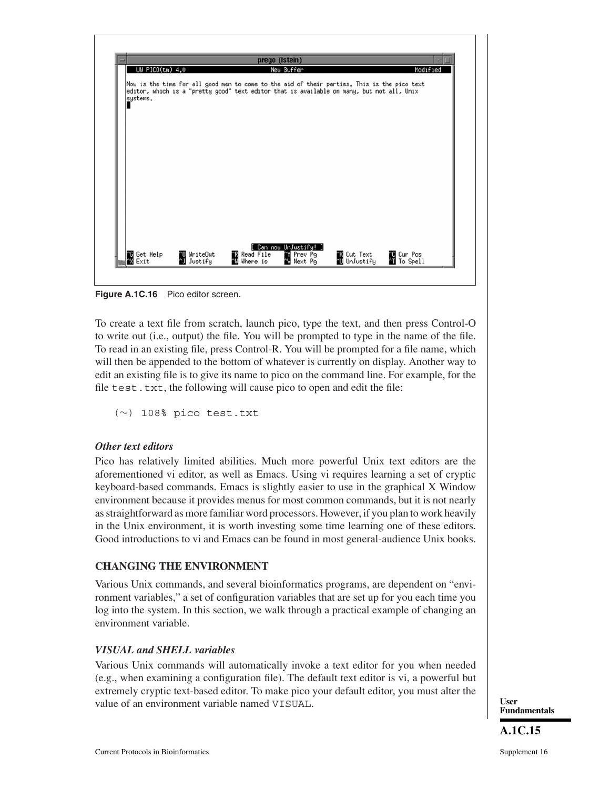

Figure A.1C.16 Pico editor screen.

To create a text file from scratch, launch pico, type the text, and then press Control-O to write out (i.e., output) the file. You will be prompted to type in the name of the file. To read in an existing file, press Control-R. You will be prompted for a file name, which will then be appended to the bottom of whatever is currently on display. Another way to edit an existing file is to give its name to pico on the command line. For example, for the file test.txt, the following will cause pico to open and edit the file:

(∼) 108% pico test.txt

## *Other text editors*

Pico has relatively limited abilities. Much more powerful Unix text editors are the aforementioned vi editor, as well as Emacs. Using vi requires learning a set of cryptic keyboard-based commands. Emacs is slightly easier to use in the graphical X Window environment because it provides menus for most common commands, but it is not nearly as straightforward as more familiar word processors. However, if you plan to work heavily in the Unix environment, it is worth investing some time learning one of these editors. Good introductions to vi and Emacs can be found in most general-audience Unix books.

## **CHANGING THE ENVIRONMENT**

Various Unix commands, and several bioinformatics programs, are dependent on "environment variables," a set of configuration variables that are set up for you each time you log into the system. In this section, we walk through a practical example of changing an environment variable.

## *VISUAL and SHELL variables*

Various Unix commands will automatically invoke a text editor for you when needed (e.g., when examining a configuration file). The default text editor is vi, a powerful but extremely cryptic text-based editor. To make pico your default editor, you must alter the value of an environment variable named VISUAL.

**User Fundamentals**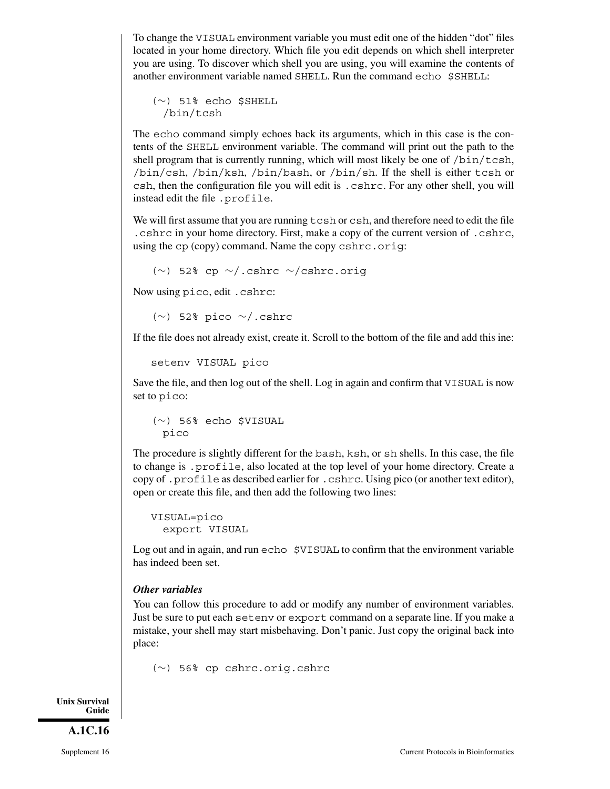To change the VISUAL environment variable you must edit one of the hidden "dot" files located in your home directory. Which file you edit depends on which shell interpreter you are using. To discover which shell you are using, you will examine the contents of another environment variable named SHELL. Run the command echo \$SHELL:

(∼) 51% echo \$SHELL /bin/tcsh

The echo command simply echoes back its arguments, which in this case is the contents of the SHELL environment variable. The command will print out the path to the shell program that is currently running, which will most likely be one of  $/bin/tcsh$ , /bin/csh, /bin/ksh, /bin/bash, or /bin/sh. If the shell is either tcsh or csh, then the configuration file you will edit is .cshrc. For any other shell, you will instead edit the file .profile.

We will first assume that you are running  $t \text{csh}$  or csh, and therefore need to edit the file .cshrc in your home directory. First, make a copy of the current version of .cshrc, using the cp (copy) command. Name the copy cshrc.orig:

```
(∼) 52% cp ∼/.cshrc ∼/cshrc.orig
```
Now using pico, edit .cshrc:

(∼) 52% pico ∼/.cshrc

If the file does not already exist, create it. Scroll to the bottom of the file and add this ine:

setenv VISUAL pico

Save the file, and then log out of the shell. Log in again and confirm that VISUAL is now set to pico:

```
(∼) 56% echo $VISUAL
 pico
```
The procedure is slightly different for the bash, ksh, or sh shells. In this case, the file to change is .profile, also located at the top level of your home directory. Create a copy of .profile as described earlier for .cshrc. Using pico (or another text editor), open or create this file, and then add the following two lines:

```
VISUAL=pico
 export VISUAL
```
Log out and in again, and run echo  $\forall$ VISUAL to confirm that the environment variable has indeed been set.

## *Other variables*

You can follow this procedure to add or modify any number of environment variables. Just be sure to put each setenv or export command on a separate line. If you make a mistake, your shell may start misbehaving. Don't panic. Just copy the original back into place:

(∼) 56% cp cshrc.orig.cshrc

**Unix Survival Guide**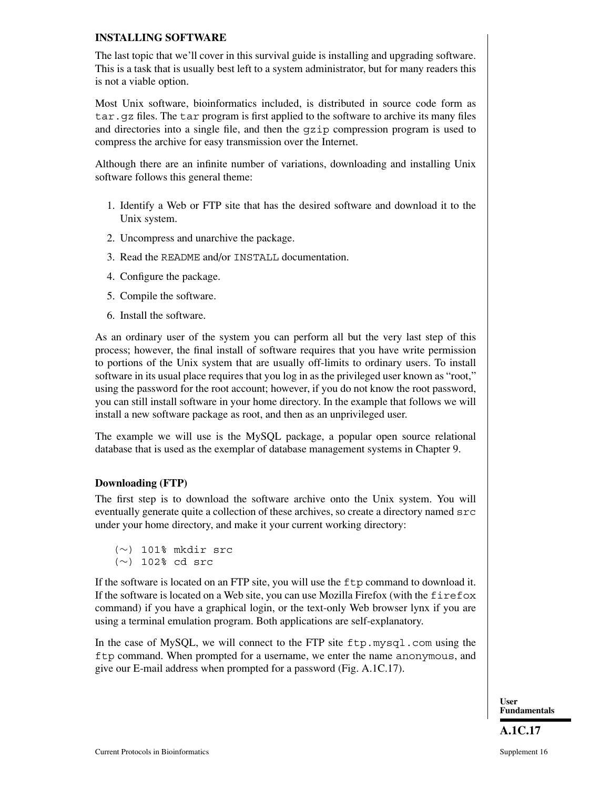## **INSTALLING SOFTWARE**

The last topic that we'll cover in this survival guide is installing and upgrading software. This is a task that is usually best left to a system administrator, but for many readers this is not a viable option.

Most Unix software, bioinformatics included, is distributed in source code form as tar.gz files. The tar program is first applied to the software to archive its many files and directories into a single file, and then the gzip compression program is used to compress the archive for easy transmission over the Internet.

Although there are an infinite number of variations, downloading and installing Unix software follows this general theme:

- 1. Identify a Web or FTP site that has the desired software and download it to the Unix system.
- 2. Uncompress and unarchive the package.
- 3. Read the README and/or INSTALL documentation.
- 4. Configure the package.
- 5. Compile the software.
- 6. Install the software.

As an ordinary user of the system you can perform all but the very last step of this process; however, the final install of software requires that you have write permission to portions of the Unix system that are usually off-limits to ordinary users. To install software in its usual place requires that you log in as the privileged user known as "root," using the password for the root account; however, if you do not know the root password, you can still install software in your home directory. In the example that follows we will install a new software package as root, and then as an unprivileged user.

The example we will use is the MySQL package, a popular open source relational database that is used as the exemplar of database management systems in Chapter 9.

## **Downloading (FTP)**

The first step is to download the software archive onto the Unix system. You will eventually generate quite a collection of these archives, so create a directory named src under your home directory, and make it your current working directory:

```
(∼) 101% mkdir src
(∼) 102% cd src
```
If the software is located on an FTP site, you will use the ftp command to download it. If the software is located on a Web site, you can use Mozilla Firefox (with the firefox command) if you have a graphical login, or the text-only Web browser lynx if you are using a terminal emulation program. Both applications are self-explanatory.

In the case of MySQL, we will connect to the FTP site ftp.mysql.com using the ftp command. When prompted for a username, we enter the name anonymous, and give our E-mail address when prompted for a password (Fig. A.1C.17).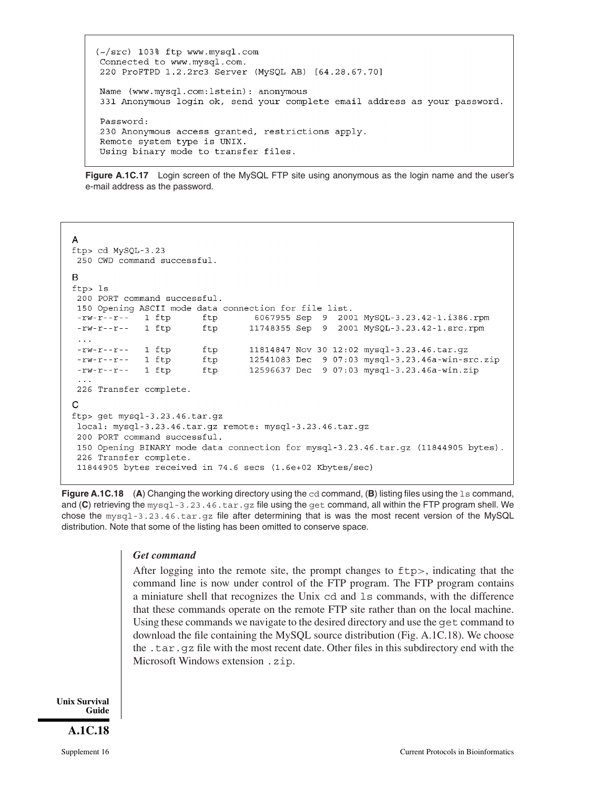```
({\sim}/src) 103% ftp www.mysql.com
Connected to www.mysql.com.
220 ProFTPD 1.2.2rc3 Server (MySQL AB) [64.28.67.70]
Name (www.mysql.com:lstein): anonymous
331 Anonymous login ok, send your complete email address as your password.
Password:
230 Anonymous access granted, restrictions apply.
Remote system type is UNIX.
Using binary mode to transfer files.
```
**Figure A.1C.17** Login screen of the MySQL FTP site using anonymous as the login name and the user's e-mail address as the password.

```
\mathsf{A}ftp> cd MySOL-3.23
 250 CWD command successful.
<sub>R</sub>
ftp> ls
 200 PORT command successful.
150 Opening ASCII mode data connection for file list.
 -rw-r--r-- 1 ftp ftp 6067955 Sep 9 2001 MySQL-3.23.42-1.i386.rpm
-rw-r-r--1 ftp
                           ftp
                                      11748355 Sep 9 2001 MySQL-3.23.42-1.src.rpm
-rw-r--r-- 1 ftp ftp 11814847 Nov 30 12:02 mysql-3.23.46.tar.gz<br>-rw-r--r-- 1 ftp ftp 12541083 Dec 9 07:03 mysql-3.23.46a-win-src.zip<br>-rw-r--r-- 1 ftp ftp 12596637 Dec 9 07:03 mysql-3.23.46a-win.zip
 . . .
 226 Transfer complete.
\mathsf{C}ftp> get mysql-3.23.46.tar.gz
 local: mysql-3.23.46.tar.gz remote: mysql-3.23.46.tar.gz
 200 PORT command successful.
 150 Opening BINARY mode data connection for mysql-3.23.46.tar.gz (11844905 bytes).
 226 Transfer complete.
 11844905 bytes received in 74.6 secs (1.6e+02 Kbytes/sec)
```
**Figure A.1C.18** (A) Changing the working directory using the cd command, (B) listing files using the 1s command, and (**C**) retrieving the mysql-3.23.46.tar.gz file using the get command, all within the FTP program shell. We chose the mysql-3.23.46.tar.gz file after determining that is was the most recent version of the MySQL distribution. Note that some of the listing has been omitted to conserve space.

#### *Get command*

After logging into the remote site, the prompt changes to  $ftp$ , indicating that the command line is now under control of the FTP program. The FTP program contains a miniature shell that recognizes the Unix cd and ls commands, with the difference that these commands operate on the remote FTP site rather than on the local machine. Using these commands we navigate to the desired directory and use the get command to download the file containing the MySQL source distribution (Fig. A.1C.18). We choose the .tar.gz file with the most recent date. Other files in this subdirectory end with the Microsoft Windows extension . zip.

**Unix Survival Guide**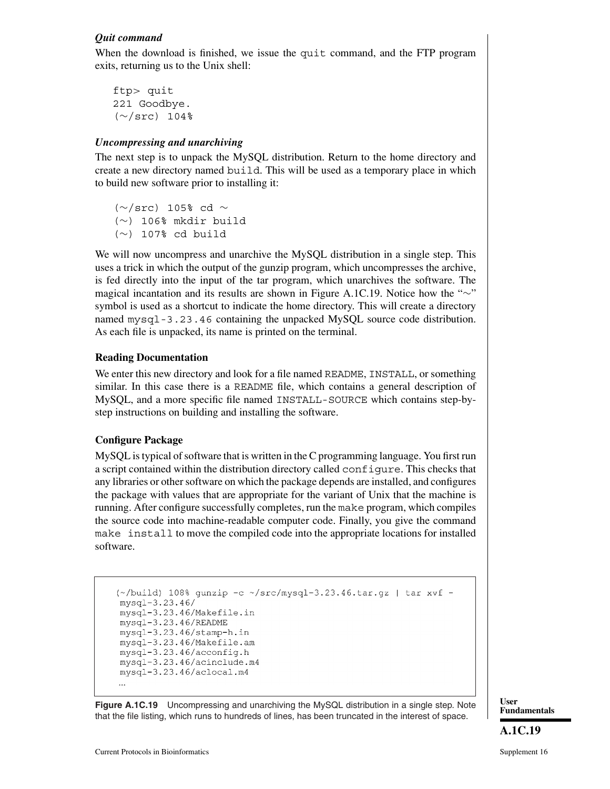## *Quit command*

When the download is finished, we issue the quit command, and the FTP program exits, returning us to the Unix shell:

ftp> quit 221 Goodbye. (∼/src) 104%

## *Uncompressing and unarchiving*

The next step is to unpack the MySQL distribution. Return to the home directory and create a new directory named build. This will be used as a temporary place in which to build new software prior to installing it:

(∼/src) 105% cd ∼ (∼) 106% mkdir build (∼) 107% cd build

We will now uncompress and unarchive the MySQL distribution in a single step. This uses a trick in which the output of the gunzip program, which uncompresses the archive, is fed directly into the input of the tar program, which unarchives the software. The magical incantation and its results are shown in Figure A.1C.19. Notice how the "∼" symbol is used as a shortcut to indicate the home directory. This will create a directory named mysql-3.23.46 containing the unpacked MySQL source code distribution. As each file is unpacked, its name is printed on the terminal.

#### **Reading Documentation**

We enter this new directory and look for a file named README, INSTALL, or something similar. In this case there is a README file, which contains a general description of MySQL, and a more specific file named INSTALL-SOURCE which contains step-bystep instructions on building and installing the software.

#### **Configure Package**

MySQL is typical of software that is written in the C programming language. You first run a script contained within the distribution directory called configure. This checks that any libraries or other software on which the package depends are installed, and configures the package with values that are appropriate for the variant of Unix that the machine is running. After configure successfully completes, run the make program, which compiles the source code into machine-readable computer code. Finally, you give the command make install to move the compiled code into the appropriate locations for installed software.

```
(\sim/build) 108% gunzip -c \sim/src/mysql-3.23.46.tar.gz | tar xvf -
mysql-3.23.46/
mysql-3.23.46/Makefile.in
mysql-3.23.46/README
mysql-3.23.46/stamp-h.in
mysql-3.23.46/Makefile.am
mysql-3.23.46/acconfig.h
mysql-3.23.46/acinclude.m4
mysql-3.23.46/aclocal.m4
\ddotsc
```
**Figure A.1C.19** Uncompressing and unarchiving the MySQL distribution in a single step. Note that the file listing, which runs to hundreds of lines, has been truncated in the interest of space.

**User Fundamentals**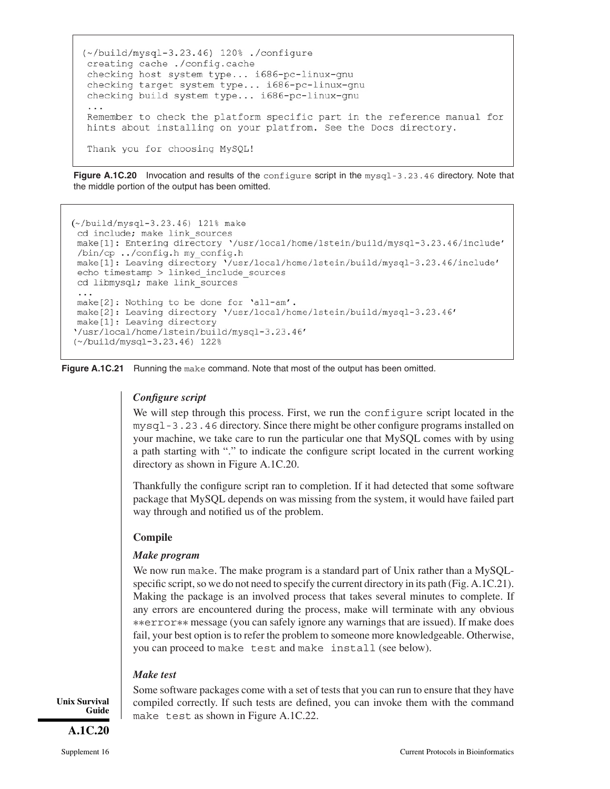```
(\sim/build/mysgl-3.23.46) 120%./configure
creating cache ./config.cache
checking host system type... i686-pc-linux-qnu
checking target system type... i686-pc-linux-gnu
checking build system type... i686-pc-linux-gnu
. . .
Remember to check the platform specific part in the reference manual for
hints about installing on your platfrom. See the Docs directory.
Thank you for choosing MySQL!
```
**Figure A.1C.20** Invocation and results of the configure script in the mysq1-3.23.46 directory. Note that the middle portion of the output has been omitted.

```
(\sim/build/mysgl-3.23.46) 121% make
 cd include; make link sources
make[1]: Entering directory '/usr/local/home/lstein/build/mysql-3.23.46/include'
 /bin/cp ../config.h my_config.h
make[1]: Leaving directory '/usr/local/home/lstein/build/mysql-3.23.46/include'
echo timestamp > linked include sources
cd libmysql; make link sources
 . . .
make[2]: Nothing to be done for 'all-am'.
make[2]: Leaving directory '/usr/local/home/lstein/build/mysql-3.23.46'
make[1]: Leaving directory
'/usr/local/home/lstein/build/mysql-3.23.46'
(~/build/mysql-3.23.46) 122%
```
**Figure A.1C.21** Running the make command. Note that most of the output has been omitted.

#### *Configure script*

We will step through this process. First, we run the configure script located in the mysql-3.23.46 directory. Since there might be other configure programs installed on your machine, we take care to run the particular one that MySQL comes with by using a path starting with "." to indicate the configure script located in the current working directory as shown in Figure A.1C.20.

Thankfully the configure script ran to completion. If it had detected that some software package that MySQL depends on was missing from the system, it would have failed part way through and notified us of the problem.

#### **Compile**

#### *Make program*

We now run make. The make program is a standard part of Unix rather than a MySQLspecific script, so we do not need to specify the current directory in its path (Fig. A.1C.21). Making the package is an involved process that takes several minutes to complete. If any errors are encountered during the process, make will terminate with any obvious ∗∗error∗∗ message (you can safely ignore any warnings that are issued). If make does fail, your best option is to refer the problem to someone more knowledgeable. Otherwise, you can proceed to make test and make install (see below).

#### *Make test*

Some software packages come with a set of tests that you can run to ensure that they have compiled correctly. If such tests are defined, you can invoke them with the command make test as shown in Figure A.1C.22.

**Unix Survival Guide**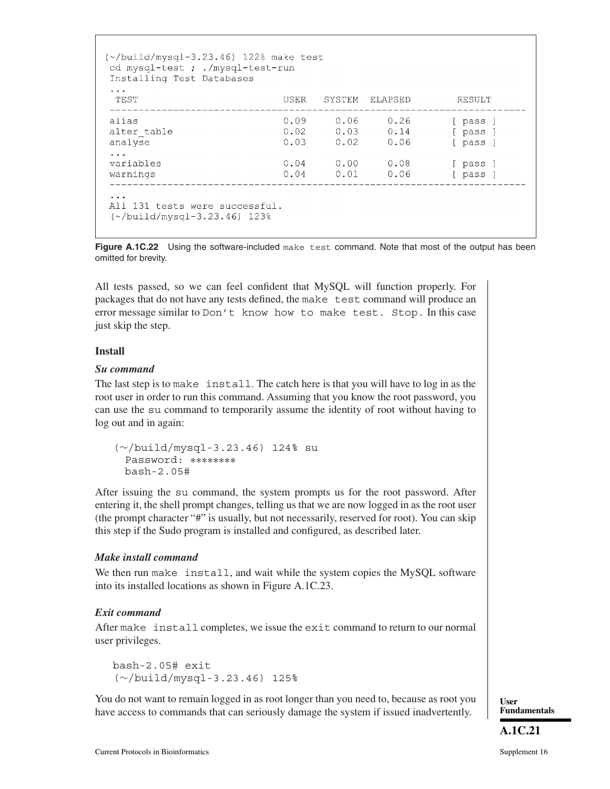| $\cdots$<br>TEST                     | USER |                      | SYSTEM ELAPSED       | RESULT   |
|--------------------------------------|------|----------------------|----------------------|----------|
| alias                                |      | $0.09$ $0.06$ $0.26$ |                      | [ pass ] |
| alter table                          |      |                      | $0.02$ $0.03$ $0.14$ | [ pass ] |
| analyse                              |      |                      | $0.03$ $0.02$ $0.06$ | [ pass ] |
| $\cdot$ $\cdot$ $\cdot$<br>variables |      | $0.04$ $0.00$ $0.08$ |                      | [ pass   |
| warnings                             |      | $0.04$ $0.01$ $0.06$ |                      | [ pass ] |

**Figure A.1C.22** Using the software-included make test command. Note that most of the output has been omitted for brevity.

All tests passed, so we can feel confident that MySQL will function properly. For packages that do not have any tests defined, the make test command will produce an error message similar to Don't know how to make test. Stop. In this case just skip the step.

## **Install**

#### *Su command*

The last step is to make install. The catch here is that you will have to log in as the root user in order to run this command. Assuming that you know the root password, you can use the su command to temporarily assume the identity of root without having to log out and in again:

(∼/build/mysql-3.23.46) 124% su Password: ∗∗∗∗∗∗∗∗ bash-2.05#

After issuing the su command, the system prompts us for the root password. After entering it, the shell prompt changes, telling us that we are now logged in as the root user (the prompt character "#" is usually, but not necessarily, reserved for root). You can skip this step if the Sudo program is installed and configured, as described later.

#### *Make install command*

We then run make install, and wait while the system copies the MySQL software into its installed locations as shown in Figure A.1C.23.

#### *Exit command*

After make install completes, we issue the exit command to return to our normal user privileges.

bash-2.05# exit (∼/build/mysql-3.23.46) 125%

You do not want to remain logged in as root longer than you need to, because as root you have access to commands that can seriously damage the system if issued inadvertently.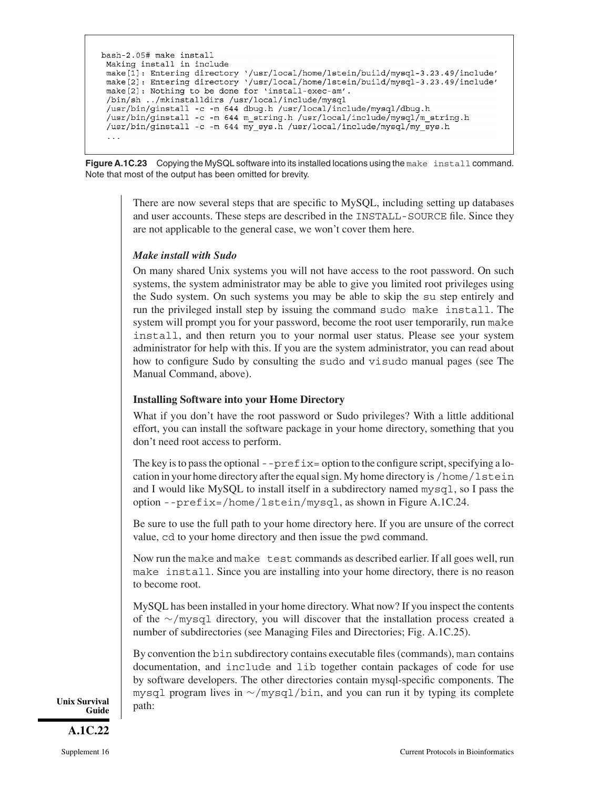```
bash-2.05# make install
Making install in include
make[1]: Entering directory '/usr/local/home/lstein/build/mysql-3.23.49/include'
make [2]: Entering directory '/usr/local/home/lstein/build/mysql-3.23.49/include'
make[2]: Nothing to be done for 'install-exec-am'.
 /bin/sh ../mkinstalldirs /usr/local/include/mysql
 /usr/bin/ginstall -c -m 644 dbug.h /usr/local/include/mysql/dbug.h
 /usr/bin/ginstall -c -m 644 m_string.h /usr/local/include/mysql/m_string.h
/usr/bin/ginstall -c -m 644 my_sys.h /usr/local/include/mysql/my_sys.h
 \sim \sim \sim
```
**Figure A.1C.23** Copying the MySQL software into its installed locations using the make install command. Note that most of the output has been omitted for brevity.

> There are now several steps that are specific to MySQL, including setting up databases and user accounts. These steps are described in the INSTALL-SOURCE file. Since they are not applicable to the general case, we won't cover them here.

#### *Make install with Sudo*

On many shared Unix systems you will not have access to the root password. On such systems, the system administrator may be able to give you limited root privileges using the Sudo system. On such systems you may be able to skip the su step entirely and run the privileged install step by issuing the command sudo make install. The system will prompt you for your password, become the root user temporarily, run make install, and then return you to your normal user status. Please see your system administrator for help with this. If you are the system administrator, you can read about how to configure Sudo by consulting the sudo and visudo manual pages (see The Manual Command, above).

## **Installing Software into your Home Directory**

What if you don't have the root password or Sudo privileges? With a little additional effort, you can install the software package in your home directory, something that you don't need root access to perform.

The key is to pass the optional  $-\text{prefix}=$  option to the configure script, specifying a location in your home directory after the equal sign. My home directory is /home/lstein and I would like MySQL to install itself in a subdirectory named mysql, so I pass the option --prefix=/home/lstein/mysql, as shown in Figure A.1C.24.

Be sure to use the full path to your home directory here. If you are unsure of the correct value, cd to your home directory and then issue the pwd command.

Now run the make and make test commands as described earlier. If all goes well, run make install. Since you are installing into your home directory, there is no reason to become root.

MySQL has been installed in your home directory. What now? If you inspect the contents of the ∼/mysql directory, you will discover that the installation process created a number of subdirectories (see Managing Files and Directories; Fig. A.1C.25).

By convention the bin subdirectory contains executable files (commands), man contains documentation, and include and lib together contain packages of code for use by software developers. The other directories contain mysql-specific components. The mysql program lives in ∼/mysql/bin, and you can run it by typing its complete path:

**Unix Survival Guide**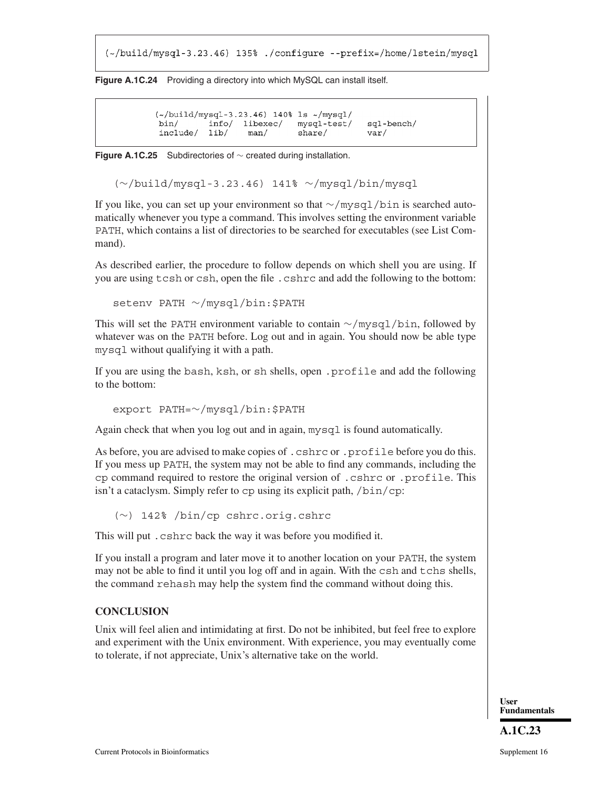(~/build/mysql-3.23.46) 135% ./configure --prefix=/home/lstein/mysql

**Figure A.1C.24** Providing a directory into which MySQL can install itself.

```
(\sim/buid/mysql-3.23.46) 140% ls \sim/mysql/sql-bench/
bin/
          info/ libexec/ mysql-test/
include/ lib/
                man/
                            share/
                                          var/
```
**Figure A.1C.25** Subdirectories of ∼ created during installation.

(∼/build/mysql-3.23.46) 141% ∼/mysql/bin/mysql

If you like, you can set up your environment so that ∼/mysql/bin is searched automatically whenever you type a command. This involves setting the environment variable PATH, which contains a list of directories to be searched for executables (see List Command).

As described earlier, the procedure to follow depends on which shell you are using. If you are using tcsh or csh, open the file .cshrc and add the following to the bottom:

setenv PATH ∼/mysql/bin:\$PATH

This will set the PATH environment variable to contain  $\sim$ /mysql/bin, followed by whatever was on the PATH before. Log out and in again. You should now be able type mysql without qualifying it with a path.

If you are using the bash, ksh, or sh shells, open .profile and add the following to the bottom:

export PATH=∼/mysql/bin:\$PATH

Again check that when you log out and in again, mysql is found automatically.

As before, you are advised to make copies of .cshrc or .profile before you do this. If you mess up PATH, the system may not be able to find any commands, including the cp command required to restore the original version of .cshrc or .profile. This isn't a cataclysm. Simply refer to cp using its explicit path, /bin/cp:

(∼) 142% /bin/cp cshrc.orig.cshrc

This will put .cshrc back the way it was before you modified it.

If you install a program and later move it to another location on your PATH, the system may not be able to find it until you log off and in again. With the csh and tchs shells, the command rehash may help the system find the command without doing this.

## **CONCLUSION**

Unix will feel alien and intimidating at first. Do not be inhibited, but feel free to explore and experiment with the Unix environment. With experience, you may eventually come to tolerate, if not appreciate, Unix's alternative take on the world.